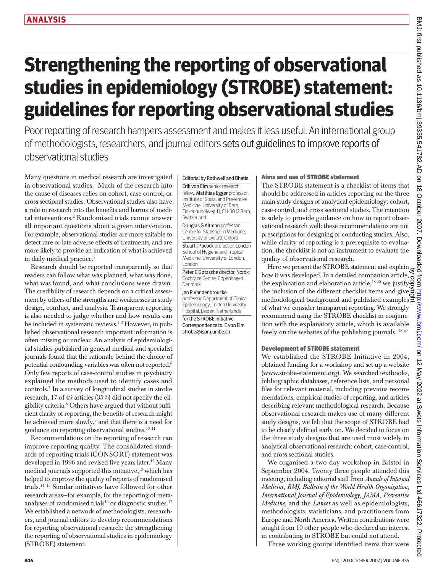# **Strengthening the reporting of observational studies in epidemiology (STROBE) statement: guidelines for reporting observational studies**

Poor reporting of research hampers assessment and makes it less useful. An international group of methodologists, researchers, and journal editors sets out guidelines to improve reports of observational studies

Many questions in medical research are investigated in observational studies.1 Much of the research into the cause of diseases relies on cohort, case-control, or cross sectional studies. Observational studies also have a role in research into the benefits and harms of medical interventions.2 Randomised trials cannot answer all important questions about a given intervention. For example, observational studies are more suitable to detect rare or late adverse effects of treatments, and are more likely to provide an indication of what is achieved in daily medical practice.3

Research should be reported transparently so that readers can follow what was planned, what was done, what was found, and what conclusions were drawn. The credibility of research depends on a critical assessment by others of the strengths and weaknesses in study design, conduct, and analysis. Transparent reporting is also needed to judge whether and how results can be included in systematic reviews.4 5 However, in published observational research important information is often missing or unclear. An analysis of epidemiological studies published in general medical and specialist journals found that the rationale behind the choice of potential confounding variables was often not reported.6 Only few reports of case-control studies in psychiatry explained the methods used to identify cases and controls.7 In a survey of longitudinal studies in stroke research, 17 of 49 articles (35%) did not specify the eligibility criteria.8 Others have argued that without sufficient clarity of reporting, the benefits of research might be achieved more slowly,<sup>9</sup> and that there is a need for guidance on reporting observational studies.10 <sup>11</sup>

Recommendations on the reporting of research can improve reporting quality. The consolidated standards of reporting trials (CONSORT) statement was developed in 1996 and revised five years later.<sup>12</sup> Many medical journals supported this initiative,<sup>13</sup> which has helped to improve the quality of reports of randomised trials.14 15 Similar initiatives have followed for other research areas—for example, for the reporting of metaanalyses of randomised trials<sup>16</sup> or diagnostic studies.<sup>17</sup> We established a network of methodologists, researchers, and journal editors to develop recommendations for reporting observational research: the strengthening the reporting of observational studies in epidemiology (STROBE) statement.

# Editorial by Rothwell and Bhatia

Erik von Elm senior research fellow, Matthias Egger professor, Institute of Social and Preventive Medicine, University of Bern, Finkenhubelweg 11, CH-3012 Bern, Switzerland

Douglas G Altman professor, Centre for Statistics in Medicine, University of Oxford, Oxford Stuart J Pocock professor, London School of Hygiene and Tropical Medicine, University of London,

London Peter C Gøtzsche director, Nordic Cochrane Centre, Copenhagen,

Denmark Jan P Vandenbroucke

professor, Department of Clinical Epidemiology, Leiden University Hospital, Leiden, Netherlands for the STROBE Initiative Correspondence to: E von Elm strobe@ispm.unibe.ch

### Aims and use of STROBE statement

The STROBE statement is a checklist of items that should be addressed in articles reporting on the three main study designs of analytical epidemiology: cohort, case-control, and cross sectional studies. The intention is solely to provide guidance on how to report observational research well: these recommendations are not prescriptions for designing or conducting studies. Also, while clarity of reporting is a prerequisite to evaluation, the checklist is not an instrument to evaluate the quality of observational research.

Here we present the STROBE statement and explain  $\frac{a}{9}$ how it was developed. In a detailed companion article, the explanation and elaboration article, $18-20$  we justifythe inclusion of the different checklist items and give $\vec{a}$ methodological background and published examples of what we consider transparent reporting. We strongly recommend using the STROBE checklist in conjunction with the explanatory article, which is available freely on the websites of the publishing journals. 18-20 by copyright.

## Development of STROBE statement

We established the STROBE Initiative in 2004, obtained funding for a workshop and set up a website (www.strobe-statement.org). We searched textbooks, bibliographic databases, reference lists, and personal files for relevant material, including previous recommendations, empirical studies of reporting, and articles describing relevant methodological research. Because observational research makes use of many different study designs, we felt that the scope of STROBE had to be clearly defined early on. We decided to focus on the three study designs that are used most widely in analytical observational research: cohort, case-control, and cross sectional studies.

We organised a two day workshop in Bristol in September 2004. Twenty three people attended this meeting, including editorial staff from *Annals of Internal Medicine*, *BMJ*, *Bulletin of the World Health Organization*, *International Journal of Epidemiology*, *JAMA*, *Preventive Medicine*, and the *Lancet* as well as epidemiologists, methodologists, statisticians, and practitioners from Europe and North America. Written contributions were sought from 10 other people who declared an interest in contributing to STROBE but could not attend.

Three working groups identified items that were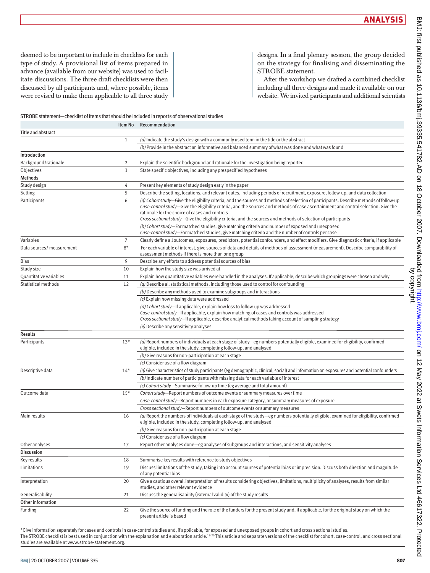deemed to be important to include in checklists for each type of study. A provisional list of items prepared in advance (available from our website) was used to facilitate discussions. The three draft checklists were then discussed by all participants and, where possible, items were revised to make them applicable to all three study designs. In a final plenary session, the group decided on the strategy for finalising and disseminating the STROBE statement.

After the workshop we drafted a combined checklist including all three designs and made it available on our website. We invited participants and additional scientists

#### STROBE statement—checklist of items that should be included in reports of observational studies

|                           | Item No        | Recommendation                                                                                                                                                                                                                                                                                                                                                                                                                                    |
|---------------------------|----------------|---------------------------------------------------------------------------------------------------------------------------------------------------------------------------------------------------------------------------------------------------------------------------------------------------------------------------------------------------------------------------------------------------------------------------------------------------|
| <b>Title and abstract</b> |                |                                                                                                                                                                                                                                                                                                                                                                                                                                                   |
|                           | $\mathbf{1}$   | (a) Indicate the study's design with a commonly used term in the title or the abstract                                                                                                                                                                                                                                                                                                                                                            |
|                           |                | (b) Provide in the abstract an informative and balanced summary of what was done and what was found                                                                                                                                                                                                                                                                                                                                               |
| Introduction              |                |                                                                                                                                                                                                                                                                                                                                                                                                                                                   |
| Background/rationale      | $\overline{2}$ | Explain the scientific background and rationale for the investigation being reported                                                                                                                                                                                                                                                                                                                                                              |
| Objectives                | 3              | State specific objectives, including any prespecified hypotheses                                                                                                                                                                                                                                                                                                                                                                                  |
| Methods                   |                |                                                                                                                                                                                                                                                                                                                                                                                                                                                   |
| Study design              | 4              | Present key elements of study design early in the paper                                                                                                                                                                                                                                                                                                                                                                                           |
| Setting                   | 5              | Describe the setting, locations, and relevant dates, including periods of recruitment, exposure, follow-up, and data collection                                                                                                                                                                                                                                                                                                                   |
| Participants              | 6              | (a) Cohort study—Give the eligibility criteria, and the sources and methods of selection of participants. Describe methods of follow-up<br>Case-control study-Give the eligibility criteria, and the sources and methods of case ascertainment and control selection. Give the<br>rationale for the choice of cases and controls<br>Cross sectional study-Give the eligibility criteria, and the sources and methods of selection of participants |
|                           |                | (b) Cohort study-For matched studies, give matching criteria and number of exposed and unexposed<br>Case-control study-For matched studies, give matching criteria and the number of controls per case                                                                                                                                                                                                                                            |
| Variables                 | $\overline{7}$ | Clearly define all outcomes, exposures, predictors, potential confounders, and effect modifiers. Give diagnostic criteria, if applicable                                                                                                                                                                                                                                                                                                          |
| Data sources/ measurement | $8*$           | For each variable of interest, give sources of data and details of methods of assessment (measurement). Describe comparability of<br>assessment methods if there is more than one group                                                                                                                                                                                                                                                           |
| <b>Bias</b>               | 9              | Describe any efforts to address potential sources of bias                                                                                                                                                                                                                                                                                                                                                                                         |
| Study size                | 10             | Explain how the study size was arrived at                                                                                                                                                                                                                                                                                                                                                                                                         |
| Quantitative variables    | 11             | Explain how quantitative variables were handled in the analyses. If applicable, describe which groupings were chosen and why                                                                                                                                                                                                                                                                                                                      |
| Statistical methods       | 12             | (a) Describe all statistical methods, including those used to control for confounding                                                                                                                                                                                                                                                                                                                                                             |
|                           |                | (b) Describe any methods used to examine subgroups and interactions                                                                                                                                                                                                                                                                                                                                                                               |
|                           |                | (c) Explain how missing data were addressed                                                                                                                                                                                                                                                                                                                                                                                                       |
|                           |                | (d) Cohort study-If applicable, explain how loss to follow-up was addressed<br>Case-control study-If applicable, explain how matching of cases and controls was addressed<br>Cross sectional study—If applicable, describe analytical methods taking account of sampling strategy                                                                                                                                                                 |
|                           |                | (e) Describe any sensitivity analyses                                                                                                                                                                                                                                                                                                                                                                                                             |
| <b>Results</b>            |                |                                                                                                                                                                                                                                                                                                                                                                                                                                                   |
| Participants              | $13*$          | (a) Report numbers of individuals at each stage of study-eg numbers potentially eligible, examined for eligibility, confirmed<br>eligible, included in the study, completing follow-up, and analysed                                                                                                                                                                                                                                              |
|                           |                | (b) Give reasons for non-participation at each stage                                                                                                                                                                                                                                                                                                                                                                                              |
|                           |                | (c) Consider use of a flow diagram                                                                                                                                                                                                                                                                                                                                                                                                                |
| Descriptive data          | $14*$          | (a) Give characteristics of study participants (eg demographic, clinical, social) and information on exposures and potential confounders                                                                                                                                                                                                                                                                                                          |
|                           |                | (b) Indicate number of participants with missing data for each variable of interest                                                                                                                                                                                                                                                                                                                                                               |
|                           |                | (c) Cohort study-Summarise follow-up time (eg average and total amount)                                                                                                                                                                                                                                                                                                                                                                           |
| Outcome data              | $15*$          | Cohort study-Report numbers of outcome events or summary measures over time                                                                                                                                                                                                                                                                                                                                                                       |
|                           |                | Case-control study-Report numbers in each exposure category, or summary measures of exposure                                                                                                                                                                                                                                                                                                                                                      |
| Main results              | 16             | Cross sectional study-Report numbers of outcome events or summary measures<br>(a) Report the numbers of individuals at each stage of the study—eg numbers potentially eligible, examined for eligibility, confirmed<br>eligible, included in the study, completing follow-up, and analysed                                                                                                                                                        |
|                           |                | (b) Give reasons for non-participation at each stage                                                                                                                                                                                                                                                                                                                                                                                              |
|                           |                | (c) Consider use of a flow diagram                                                                                                                                                                                                                                                                                                                                                                                                                |
| Other analyses            | 17             | Report other analyses done-eg analyses of subgroups and interactions, and sensitivity analyses                                                                                                                                                                                                                                                                                                                                                    |
| Discussion                |                |                                                                                                                                                                                                                                                                                                                                                                                                                                                   |
| Key results               | 18             | Summarise key results with reference to study objectives                                                                                                                                                                                                                                                                                                                                                                                          |
| Limitations               | 19             | Discuss limitations of the study, taking into account sources of potential bias or imprecision. Discuss both direction and magnitude<br>of any potential bias                                                                                                                                                                                                                                                                                     |
| Interpretation            | 20             | Give a cautious overall interpretation of results considering objectives, limitations, multiplicity of analyses, results from similar<br>studies, and other relevant evidence                                                                                                                                                                                                                                                                     |
| Generalisability          | 21             | Discuss the generalisability (external validity) of the study results                                                                                                                                                                                                                                                                                                                                                                             |
| Other information         |                |                                                                                                                                                                                                                                                                                                                                                                                                                                                   |
| Funding                   | 22             | Give the source of funding and the role of the funders for the present study and, if applicable, for the original study on which the<br>present article is based                                                                                                                                                                                                                                                                                  |

\*Give information separately for cases and controls in case-control studies and, if applicable, for exposed and unexposed groups in cohort and cross sectional studies. The STROBE checklist is best used in conjunction with the explanation and elaboration article.<sup>18-20</sup> This article and separate versions of the checklist for cohort, case-control, and cross sectional studies are available atwww.strobe-statement.org.